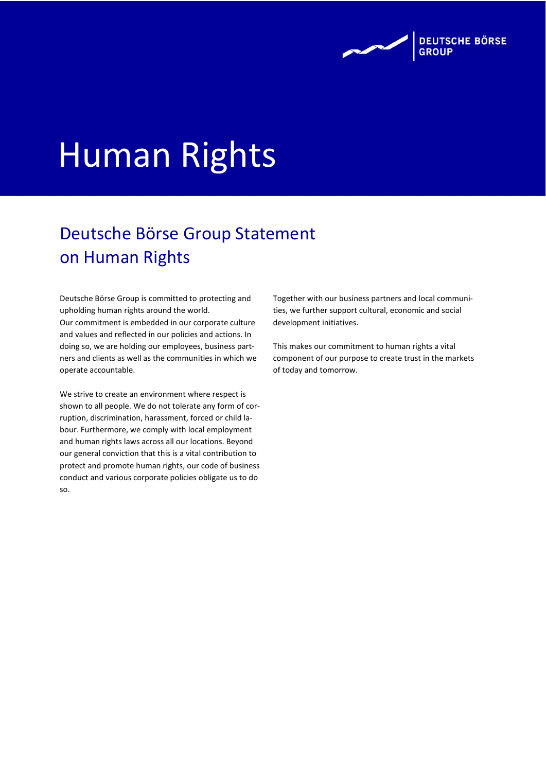

# Human Rights

# Deutsche Börse Group Statement on Human Rights

Deutsche Börse Group is committed to protecting and upholding human rights around the world. Our commitment is embedded in our corporate culture and values and reflected in our policies and actions. In doing so, we are holding our employees, business partners and clients as well as the communities in which we operate accountable.

We strive to create an environment where respect is shown to all people. We do not tolerate any form of corruption, discrimination, harassment, forced or child labour. Furthermore, we comply with local employment and human rights laws across all our locations. Beyond our general conviction that this is a vital contribution to protect and promote human rights, our code of business conduct and various corporate policies obligate us to do so.

Together with our business partners and local communities, we further support cultural, economic and social development initiatives.

This makes our commitment to human rights a vital component of our purpose to create trust in the markets of today and tomorrow.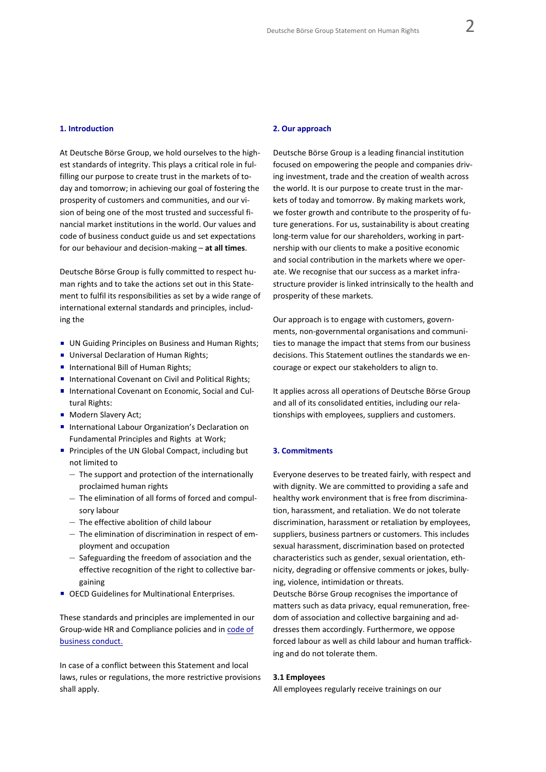#### **1. Introduction**

At Deutsche Börse Group, we hold ourselves to the highest standards of integrity. This plays a critical role in fulfilling our purpose to create trust in the markets of today and tomorrow; in achieving our goal of fostering the prosperity of customers and communities, and our vision of being one of the most trusted and successful financial market institutions in the world. Our values and code of business conduct guide us and set expectations for our behaviour and decision-making – **at all times**.

Deutsche Börse Group is fully committed to respect human rights and to take the actions set out in this Statement to fulfil its responsibilities as set by a wide range of international external standards and principles, including the

- **UN Guiding Principles on Business and Human Rights;**
- **Universal Declaration of Human Rights;**
- International Bill of Human Rights:
- International Covenant on Civil and Political Rights;
- International Covenant on Economic, Social and Cultural Rights:
- **Modern Slavery Act;**
- **International Labour Organization's Declaration on** Fundamental Principles and Rights at Work;
- **Principles of the UN Global Compact, including but** not limited to
	- The support and protection of the internationally proclaimed human rights
	- The elimination of all forms of forced and compulsory labour
	- The effective abolition of child labour
	- The elimination of discrimination in respect of employment and occupation
	- Safeguarding the freedom of association and the effective recognition of the right to collective bargaining
- OECD Guidelines for Multinational Enterprises.

These standards and principles are implemented in our Group-wide HR and Compliance policies and in code of [business conduct.](https://deutsche-boerse.com/resource/blob/45222/8863166f657dfec35ad53e5ad5db7eda/data/code-of-business-conduct_en.pdf)

In case of a conflict between this Statement and local laws, rules or regulations, the more restrictive provisions shall apply.

#### **2. Our approach**

Deutsche Börse Group is a leading financial institution focused on empowering the people and companies driving investment, trade and the creation of wealth across the world. It is our purpose to create trust in the markets of today and tomorrow. By making markets work, we foster growth and contribute to the prosperity of future generations. For us, sustainability is about creating long-term value for our shareholders, working in partnership with our clients to make a positive economic and social contribution in the markets where we operate. We recognise that our success as a market infrastructure provider is linked intrinsically to the health and prosperity of these markets.

Our approach is to engage with customers, governments, non-governmental organisations and communities to manage the impact that stems from our business decisions. This Statement outlines the standards we encourage or expect our stakeholders to align to.

It applies across all operations of Deutsche Börse Group and all of its consolidated entities, including our relationships with employees, suppliers and customers.

#### **3. Commitments**

Everyone deserves to be treated fairly, with respect and with dignity. We are committed to providing a safe and healthy work environment that is free from discrimination, harassment, and retaliation. We do not tolerate discrimination, harassment or retaliation by employees, suppliers, business partners or customers. This includes sexual harassment, discrimination based on protected characteristics such as gender, sexual orientation, ethnicity, degrading or offensive comments or jokes, bullying, violence, intimidation or threats.

Deutsche Börse Group recognises the importance of matters such as data privacy, equal remuneration, freedom of association and collective bargaining and addresses them accordingly. Furthermore, we oppose forced labour as well as child labour and human trafficking and do not tolerate them.

## **3.1 Employees**

All employees regularly receive trainings on our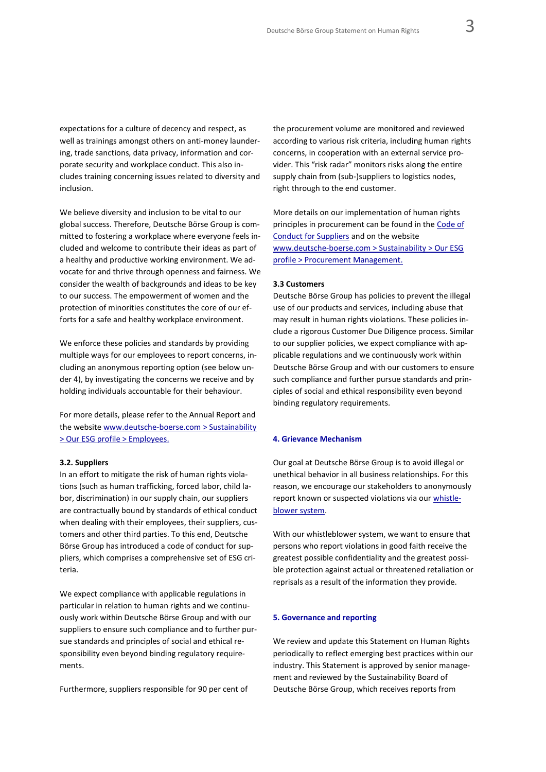expectations for a culture of decency and respect, as well as trainings amongst others on anti-money laundering, trade sanctions, data privacy, information and corporate security and workplace conduct. This also includes training concerning issues related to diversity and inclusion.

We believe diversity and inclusion to be vital to our global success. Therefore, Deutsche Börse Group is committed to fostering a workplace where everyone feels included and welcome to contribute their ideas as part of a healthy and productive working environment. We advocate for and thrive through openness and fairness. We consider the wealth of backgrounds and ideas to be key to our success. The empowerment of women and the protection of minorities constitutes the core of our efforts for a safe and healthy workplace environment.

We enforce these policies and standards by providing multiple ways for our employees to report concerns, including an anonymous reporting option (see below under 4), by investigating the concerns we receive and by holding individuals accountable for their behaviour.

For more details, please refer to the Annual Report and the websit[e www.deutsche-boerse.com > Sustainability](https://www.deutsche-boerse.com/dbg-en/sustainability/esg-profile/employees)  [> Our ESG profile > Employees.](https://www.deutsche-boerse.com/dbg-en/sustainability/esg-profile/employees)

#### **3.2. Suppliers**

In an effort to mitigate the risk of human rights violations (such as human trafficking, forced labor, child labor, discrimination) in our supply chain, our suppliers are contractually bound by standards of ethical conduct when dealing with their employees, their suppliers, customers and other third parties. To this end, Deutsche Börse Group has introduced a code of conduct for suppliers, which comprises a comprehensive set of ESG criteria.

We expect compliance with applicable regulations in particular in relation to human rights and we continuously work within Deutsche Börse Group and with our suppliers to ensure such compliance and to further pursue standards and principles of social and ethical responsibility even beyond binding regulatory requirements.

Furthermore, suppliers responsible for 90 per cent of

the procurement volume are monitored and reviewed according to various risk criteria, including human rights concerns, in cooperation with an external service provider. This "risk radar" monitors risks along the entire supply chain from (sub-)suppliers to logistics nodes, right through to the end customer.

More details on our implementation of human rights principles in procurement can be found in th[e Code of](https://www.deutsche-boerse.com/resource/blob/149038/f44d89dde25a6e97ef9727757c64ac44/data/verhaltenskodex-f-r-lieferanten-dienstleister_de.pdf)  [Conduct for Suppliers](https://www.deutsche-boerse.com/resource/blob/149038/f44d89dde25a6e97ef9727757c64ac44/data/verhaltenskodex-f-r-lieferanten-dienstleister_de.pdf) and on the website [www.deutsche-boerse.com > Sustainability > Our ESG](https://www.deutsche-boerse.com/dbg-en/sustainability/esg-profile/procurement-management)  [profile > Procurement Management.](https://www.deutsche-boerse.com/dbg-en/sustainability/esg-profile/procurement-management)

#### **3.3 Customers**

Deutsche Börse Group has policies to prevent the illegal use of our products and services, including abuse that may result in human rights violations. These policies include a rigorous Customer Due Diligence process. Similar to our supplier policies, we expect compliance with applicable regulations and we continuously work within Deutsche Börse Group and with our customers to ensure such compliance and further pursue standards and principles of social and ethical responsibility even beyond binding regulatory requirements.

#### **4. Grievance Mechanism**

Our goal at Deutsche Börse Group is to avoid illegal or unethical behavior in all business relationships. For this reason, we encourage our stakeholders to anonymously report known or suspected violations via ou[r whistle](https://www.deutsche-boerse.com/dbg-en/our-company/contact/contact-for-whistleblowers)[blower system.](https://www.deutsche-boerse.com/dbg-en/our-company/contact/contact-for-whistleblowers)

With our whistleblower system, we want to ensure that persons who report violations in good faith receive the greatest possible confidentiality and the greatest possible protection against actual or threatened retaliation or reprisals as a result of the information they provide.

## **5. Governance and reporting**

We review and update this Statement on Human Rights periodically to reflect emerging best practices within our industry. This Statement is approved by senior management and reviewed by the Sustainability Board of Deutsche Börse Group, which receives reports from